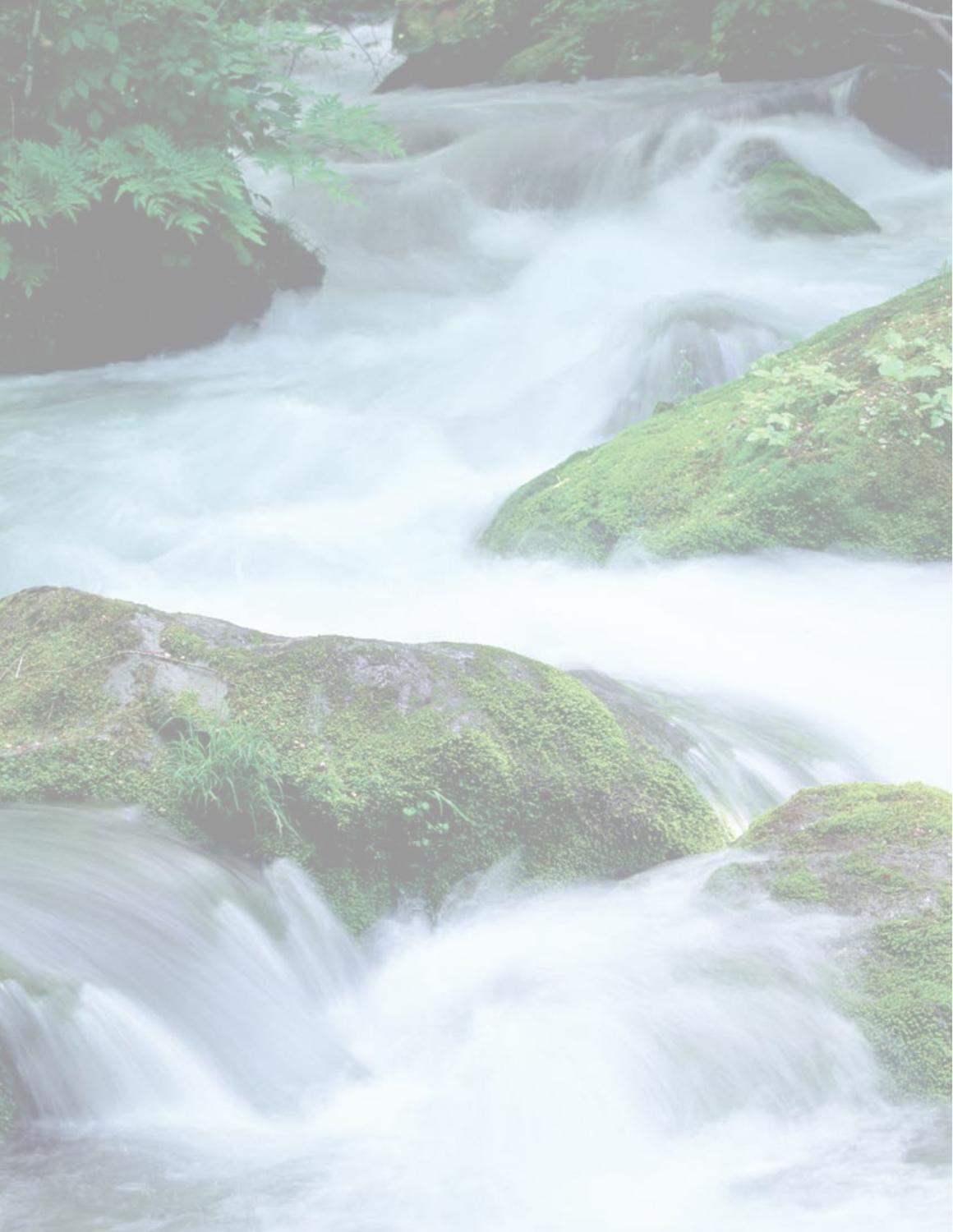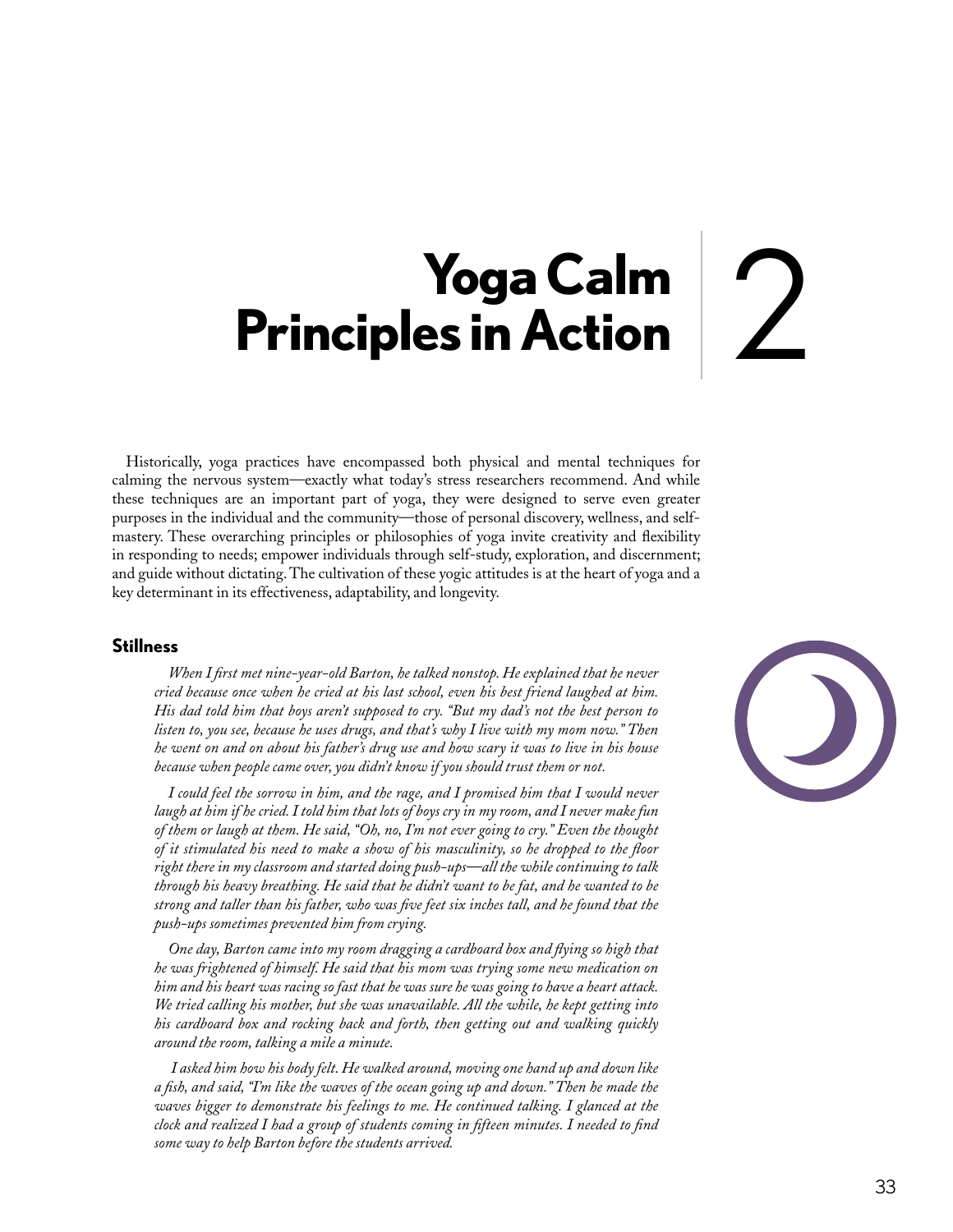## **Yoga Calm Principles in Action**

Historically, yoga practices have encompassed both physical and mental techniques for calming the nervous system—exactly what today's stress researchers recommend. And while these techniques are an important part of yoga, they were designed to serve even greater purposes in the individual and the community—those of personal discovery, wellness, and selfmastery. These overarching principles or philosophies of yoga invite creativity and flexibility in responding to needs; empower individuals through self-study, exploration, and discernment; and guide without dictating. The cultivation of these yogic attitudes is at the heart of yoga and a key determinant in its effectiveness, adaptability, and longevity.

#### **Stillness**

*When I first met nine-year-old Barton, he talked nonstop. He explained that he never cried because once when he cried at his last school, even his best friend laughed at him. His dad told him that boys aren't supposed to cry. "But my dad's not the best person to listen to, you see, because he uses drugs, and that's why I live with my mom now." Then he went on and on about his father's drug use and how scary it was to live in his house because when people came over, you didn't know if you should trust them or not.* 

*I could feel the sorrow in him, and the rage, and I promised him that I would never laugh at him if he cried. I told him that lots of boys cry in my room, and I never make fun of them or laugh at them. He said, "Oh, no, I'm not ever going to cry." Even the thought of it stimulated his need to make a show of his masculinity, so he dropped to the floor right there in my classroom and started doing push-ups—all the while continuing to talk through his heavy breathing. He said that he didn't want to be fat, and he wanted to be strong and taller than his father, who was five feet six inches tall, and he found that the push-ups sometimes prevented him from crying.* 

*One day, Barton came into my room dragging a cardboard box and flying so high that he was frightened of himself. He said that his mom was trying some new medication on him and his heart was racing so fast that he was sure he was going to have a heart attack. We tried calling his mother, but she was unavailable. All the while, he kept getting into his cardboard box and rocking back and forth, then getting out and walking quickly around the room, talking a mile a minute.*

 *I asked him how his body felt. He walked around, moving one hand up and down like a fish, and said, "I'm like the waves of the ocean going up and down." Then he made the waves bigger to demonstrate his feelings to me. He continued talking. I glanced at the clock and realized I had a group of students coming in fifteen minutes. I needed to find some way to help Barton before the students arrived.* 

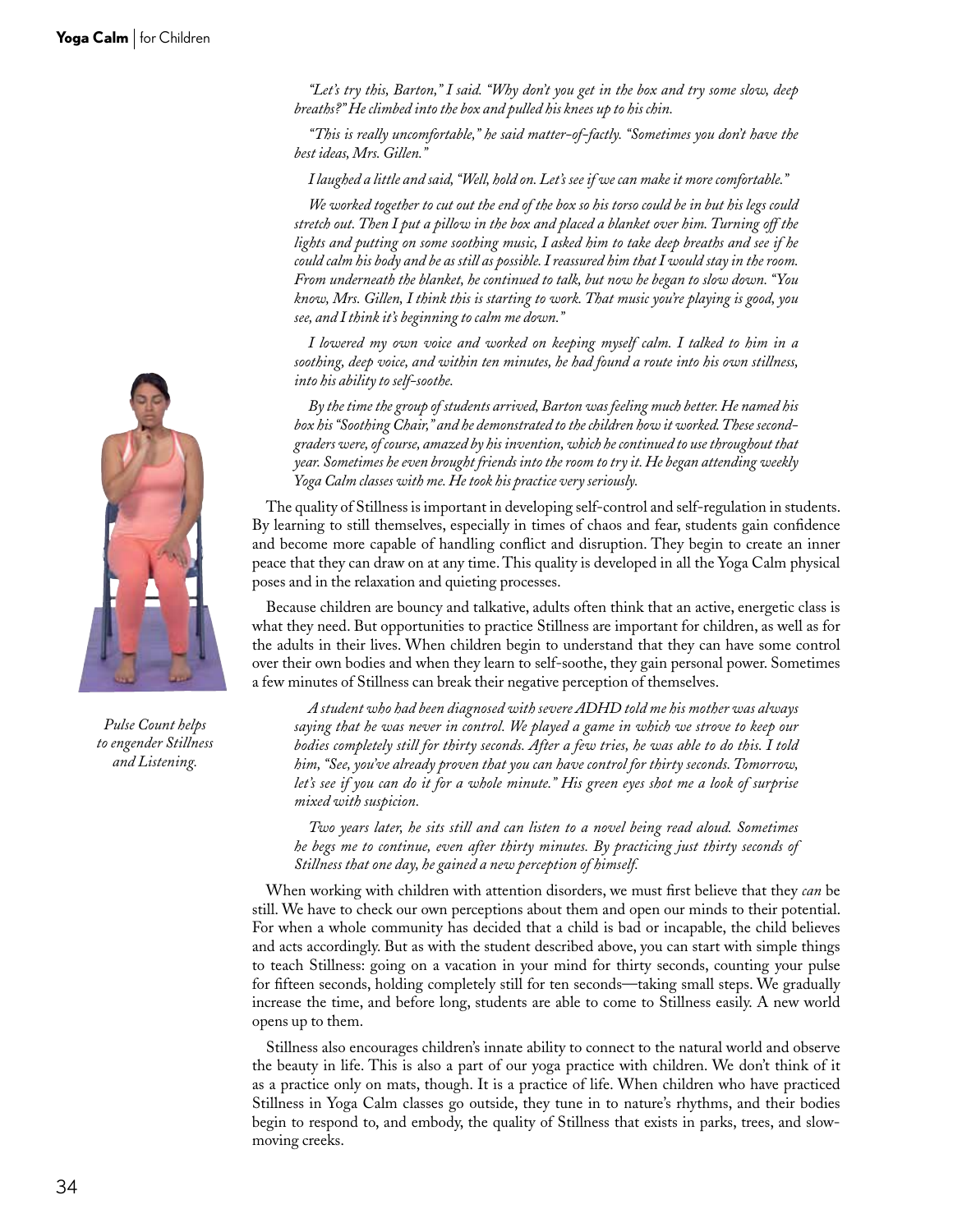

*Pulse Count helps to engender Stillness and Listening.*

*"Let's try this, Barton," I said. "Why don't you get in the box and try some slow, deep breaths?" He climbed into the box and pulled his knees up to his chin.* 

*"This is really uncomfortable," he said matter-of-factly. "Sometimes you don't have the best ideas, Mrs. Gillen."* 

*I laughed a little and said, "Well, hold on. Let's see if we can make it more comfortable."* 

*We worked together to cut out the end of the box so his torso could be in but his legs could stretch out. Then I put a pillow in the box and placed a blanket over him. Turning off the lights and putting on some soothing music, I asked him to take deep breaths and see if he could calm his body and be as still as possible. I reassured him that I would stay in the room. From underneath the blanket, he continued to talk, but now he began to slow down. "You know, Mrs. Gillen, I think this is starting to work. That music you're playing is good, you see, and I think it's beginning to calm me down."* 

*I lowered my own voice and worked on keeping myself calm. I talked to him in a soothing, deep voice, and within ten minutes, he had found a route into his own stillness, into his ability to self-soothe.* 

*By the time the group of students arrived, Barton was feeling much better. He named his box his "Soothing Chair," and he demonstrated to the children how it worked. These secondgraders were, of course, amazed by his invention, which he continued to use throughout that year. Sometimes he even brought friends into the room to try it. He began attending weekly Yoga Calm classes with me. He took his practice very seriously.* 

The quality of Stillness is important in developing self-control and self-regulation in students. By learning to still themselves, especially in times of chaos and fear, students gain confidence and become more capable of handling conflict and disruption. They begin to create an inner peace that they can draw on at any time. This quality is developed in all the Yoga Calm physical poses and in the relaxation and quieting processes.

Because children are bouncy and talkative, adults often think that an active, energetic class is what they need. But opportunities to practice Stillness are important for children, as well as for the adults in their lives. When children begin to understand that they can have some control over their own bodies and when they learn to self-soothe, they gain personal power. Sometimes a few minutes of Stillness can break their negative perception of themselves.

*A student who had been diagnosed with severe ADHD told me his mother was always*  saying that he was never in control. We played a game in which we strove to keep our *bodies completely still for thirty seconds. After a few tries, he was able to do this. I told him, "See, you've already proven that you can have control for thirty seconds. Tomorrow, let's see if you can do it for a whole minute." His green eyes shot me a look of surprise mixed with suspicion.* 

*Two years later, he sits still and can listen to a novel being read aloud. Sometimes he begs me to continue, even after thirty minutes. By practicing just thirty seconds of Stillness that one day, he gained a new perception of himself.*

When working with children with attention disorders, we must first believe that they *can* be still. We have to check our own perceptions about them and open our minds to their potential. For when a whole community has decided that a child is bad or incapable, the child believes and acts accordingly. But as with the student described above, you can start with simple things to teach Stillness: going on a vacation in your mind for thirty seconds, counting your pulse for fifteen seconds, holding completely still for ten seconds—taking small steps. We gradually increase the time, and before long, students are able to come to Stillness easily. A new world opens up to them.

Stillness also encourages children's innate ability to connect to the natural world and observe the beauty in life. This is also a part of our yoga practice with children. We don't think of it as a practice only on mats, though. It is a practice of life. When children who have practiced Stillness in Yoga Calm classes go outside, they tune in to nature's rhythms, and their bodies begin to respond to, and embody, the quality of Stillness that exists in parks, trees, and slowmoving creeks.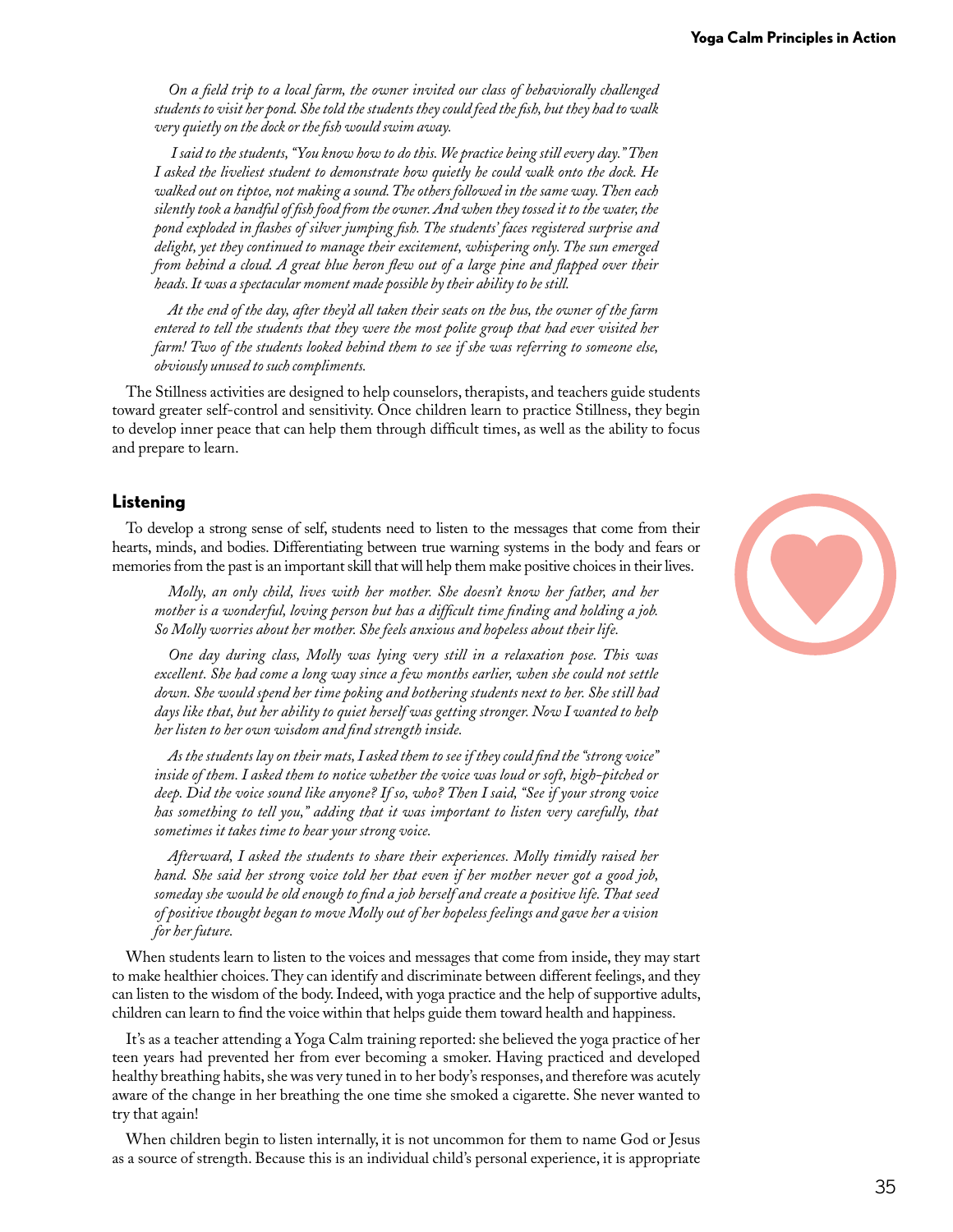*On a field trip to a local farm, the owner invited our class of behaviorally challenged students to visit her pond. She told the students they could feed the fish, but they had to walk very quietly on the dock or the fish would swim away.* 

 *I said to the students, "You know how to do this. We practice being still every day." Then I asked the liveliest student to demonstrate how quietly he could walk onto the dock. He walked out on tiptoe, not making a sound. The others followed in the same way. Then each silently took a handful of fish food from the owner. And when they tossed it to the water, the pond exploded in flashes of silver jumping fish. The students' faces registered surprise and delight, yet they continued to manage their excitement, whispering only. The sun emerged from behind a cloud. A great blue heron flew out of a large pine and flapped over their heads. It was a spectacular moment made possible by their ability to be still.* 

*At the end of the day, after they'd all taken their seats on the bus, the owner of the farm entered to tell the students that they were the most polite group that had ever visited her farm! Two of the students looked behind them to see if she was referring to someone else, obviously unused to such compliments.* 

The Stillness activities are designed to help counselors, therapists, and teachers guide students toward greater self-control and sensitivity. Once children learn to practice Stillness, they begin to develop inner peace that can help them through difficult times, as well as the ability to focus and prepare to learn.

#### **Listening**

To develop a strong sense of self, students need to listen to the messages that come from their hearts, minds, and bodies. Differentiating between true warning systems in the body and fears or memories from the past is an important skill that will help them make positive choices in their lives.

*Molly, an only child, lives with her mother. She doesn't know her father, and her mother is a wonderful, loving person but has a difficult time finding and holding a job. So Molly worries about her mother. She feels anxious and hopeless about their life.* 

*One day during class, Molly was lying very still in a relaxation pose. This was excellent. She had come a long way since a few months earlier, when she could not settle down. She would spend her time poking and bothering students next to her. She still had days like that, but her ability to quiet herself was getting stronger. Now I wanted to help her listen to her own wisdom and find strength inside.*

*As the students lay on their mats, I asked them to see if they could find the "strong voice" inside of them. I asked them to notice whether the voice was loud or soft, high-pitched or deep. Did the voice sound like anyone? If so, who? Then I said, "See if your strong voice has something to tell you," adding that it was important to listen very carefully, that sometimes it takes time to hear your strong voice.* 

*Afterward, I asked the students to share their experiences. Molly timidly raised her hand. She said her strong voice told her that even if her mother never got a good job, someday she would be old enough to find a job herself and create a positive life. That seed of positive thought began to move Molly out of her hopeless feelings and gave her a vision for her future.* 

When students learn to listen to the voices and messages that come from inside, they may start to make healthier choices. They can identify and discriminate between different feelings, and they can listen to the wisdom of the body. Indeed, with yoga practice and the help of supportive adults, children can learn to find the voice within that helps guide them toward health and happiness.

It's as a teacher attending a Yoga Calm training reported: she believed the yoga practice of her teen years had prevented her from ever becoming a smoker. Having practiced and developed healthy breathing habits, she was very tuned in to her body's responses, and therefore was acutely aware of the change in her breathing the one time she smoked a cigarette. She never wanted to try that again!

When children begin to listen internally, it is not uncommon for them to name God or Jesus as a source of strength. Because this is an individual child's personal experience, it is appropriate

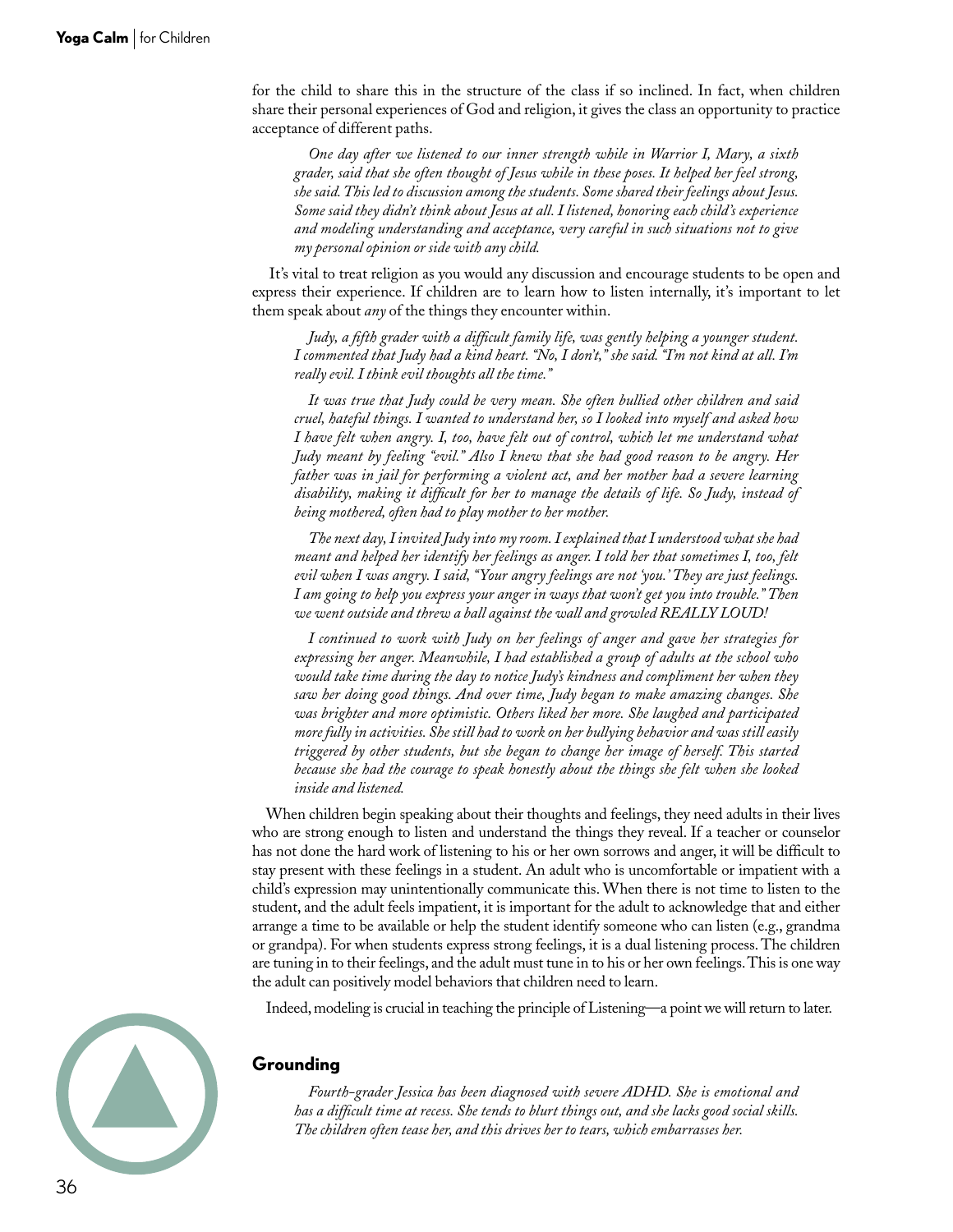for the child to share this in the structure of the class if so inclined. In fact, when children share their personal experiences of God and religion, it gives the class an opportunity to practice acceptance of different paths.

*One day after we listened to our inner strength while in Warrior I, Mary, a sixth grader, said that she often thought of Jesus while in these poses. It helped her feel strong, she said. This led to discussion among the students. Some shared their feelings about Jesus. Some said they didn't think about Jesus at all. I listened, honoring each child's experience and modeling understanding and acceptance, very careful in such situations not to give my personal opinion or side with any child.*

It's vital to treat religion as you would any discussion and encourage students to be open and express their experience. If children are to learn how to listen internally, it's important to let them speak about *any* of the things they encounter within.

*Judy, a fifth grader with a difficult family life, was gently helping a younger student. I commented that Judy had a kind heart. "No, I don't," she said. "I'm not kind at all. I'm really evil. I think evil thoughts all the time."* 

*It was true that Judy could be very mean. She often bullied other children and said cruel, hateful things. I wanted to understand her, so I looked into myself and asked how I have felt when angry. I, too, have felt out of control, which let me understand what Judy meant by feeling "evil." Also I knew that she had good reason to be angry. Her father was in jail for performing a violent act, and her mother had a severe learning disability, making it difficult for her to manage the details of life. So Judy, instead of being mothered, often had to play mother to her mother.* 

*The next day, I invited Judy into my room. I explained that I understood what she had meant and helped her identify her feelings as anger. I told her that sometimes I, too, felt evil when I was angry. I said, "Your angry feelings are not 'you.' They are just feelings. I am going to help you express your anger in ways that won't get you into trouble." Then we went outside and threw a ball against the wall and growled REALLY LOUD!* 

*I continued to work with Judy on her feelings of anger and gave her strategies for expressing her anger. Meanwhile, I had established a group of adults at the school who would take time during the day to notice Judy's kindness and compliment her when they saw her doing good things. And over time, Judy began to make amazing changes. She was brighter and more optimistic. Others liked her more. She laughed and participated more fully in activities. She still had to work on her bullying behavior and was still easily triggered by other students, but she began to change her image of herself. This started because she had the courage to speak honestly about the things she felt when she looked inside and listened.* 

When children begin speaking about their thoughts and feelings, they need adults in their lives who are strong enough to listen and understand the things they reveal. If a teacher or counselor has not done the hard work of listening to his or her own sorrows and anger, it will be difficult to stay present with these feelings in a student. An adult who is uncomfortable or impatient with a child's expression may unintentionally communicate this. When there is not time to listen to the student, and the adult feels impatient, it is important for the adult to acknowledge that and either arrange a time to be available or help the student identify someone who can listen (e.g., grandma or grandpa). For when students express strong feelings, it is a dual listening process. The children are tuning in to their feelings, and the adult must tune in to his or her own feelings. This is one way the adult can positively model behaviors that children need to learn.

Indeed, modeling is crucial in teaching the principle of Listening—a point we will return to later.

# 

### **Grounding**

*Fourth-grader Jessica has been diagnosed with severe ADHD. She is emotional and has a difficult time at recess. She tends to blurt things out, and she lacks good social skills. The children often tease her, and this drives her to tears, which embarrasses her.*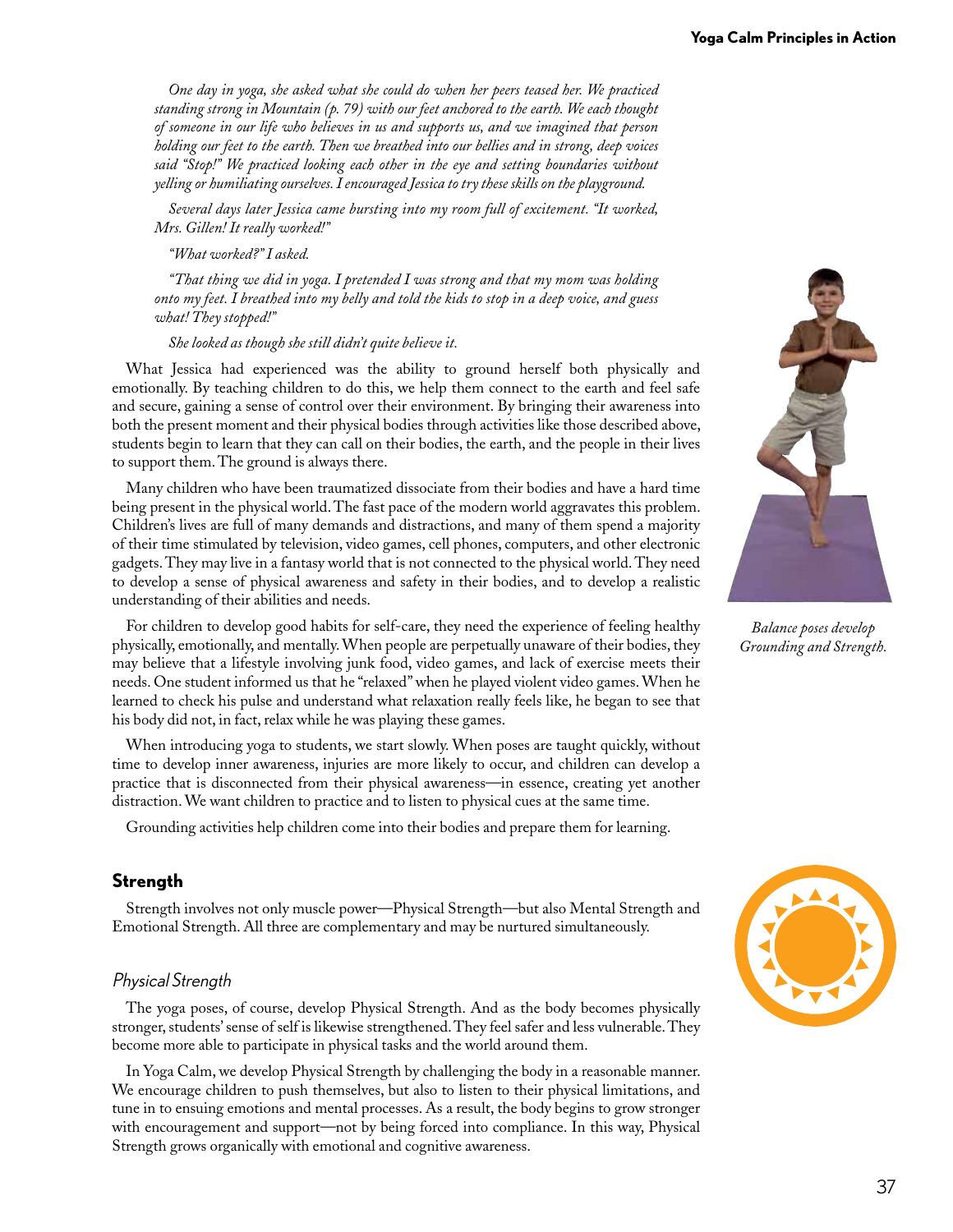*One day in yoga, she asked what she could do when her peers teased her. We practiced standing strong in Mountain (p. 79) with our feet anchored to the earth. We each thought of someone in our life who believes in us and supports us, and we imagined that person holding our feet to the earth. Then we breathed into our bellies and in strong, deep voices said "Stop!" We practiced looking each other in the eye and setting boundaries without yelling or humiliating ourselves. I encouraged Jessica to try these skills on the playground.* 

*Several days later Jessica came bursting into my room full of excitement. "It worked, Mrs. Gillen! It really worked!"* 

*"What worked?" I asked.*

*"That thing we did in yoga. I pretended I was strong and that my mom was holding onto my feet. I breathed into my belly and told the kids to stop in a deep voice, and guess what! They stopped!"* 

*She looked as though she still didn't quite believe it.*

What Jessica had experienced was the ability to ground herself both physically and emotionally. By teaching children to do this, we help them connect to the earth and feel safe and secure, gaining a sense of control over their environment. By bringing their awareness into both the present moment and their physical bodies through activities like those described above, students begin to learn that they can call on their bodies, the earth, and the people in their lives to support them. The ground is always there.

Many children who have been traumatized dissociate from their bodies and have a hard time being present in the physical world. The fast pace of the modern world aggravates this problem. Children's lives are full of many demands and distractions, and many of them spend a majority of their time stimulated by television, video games, cell phones, computers, and other electronic gadgets. They may live in a fantasy world that is not connected to the physical world. They need to develop a sense of physical awareness and safety in their bodies, and to develop a realistic understanding of their abilities and needs.

For children to develop good habits for self-care, they need the experience of feeling healthy physically, emotionally, and mentally. When people are perpetually unaware of their bodies, they may believe that a lifestyle involving junk food, video games, and lack of exercise meets their needs. One student informed us that he "relaxed" when he played violent video games. When he learned to check his pulse and understand what relaxation really feels like, he began to see that his body did not, in fact, relax while he was playing these games.

When introducing yoga to students, we start slowly. When poses are taught quickly, without time to develop inner awareness, injuries are more likely to occur, and children can develop a practice that is disconnected from their physical awareness—in essence, creating yet another distraction. We want children to practice and to listen to physical cues at the same time.

Grounding activities help children come into their bodies and prepare them for learning.

#### **Strength**

Strength involves not only muscle power—Physical Strength—but also Mental Strength and Emotional Strength. All three are complementary and may be nurtured simultaneously.

#### Physical Strength

The yoga poses, of course, develop Physical Strength. And as the body becomes physically stronger, students' sense of self is likewise strengthened. They feel safer and less vulnerable. They become more able to participate in physical tasks and the world around them.

In Yoga Calm, we develop Physical Strength by challenging the body in a reasonable manner. We encourage children to push themselves, but also to listen to their physical limitations, and tune in to ensuing emotions and mental processes. As a result, the body begins to grow stronger with encouragement and support—not by being forced into compliance. In this way, Physical Strength grows organically with emotional and cognitive awareness.



*Balance poses develop Grounding and Strength.*

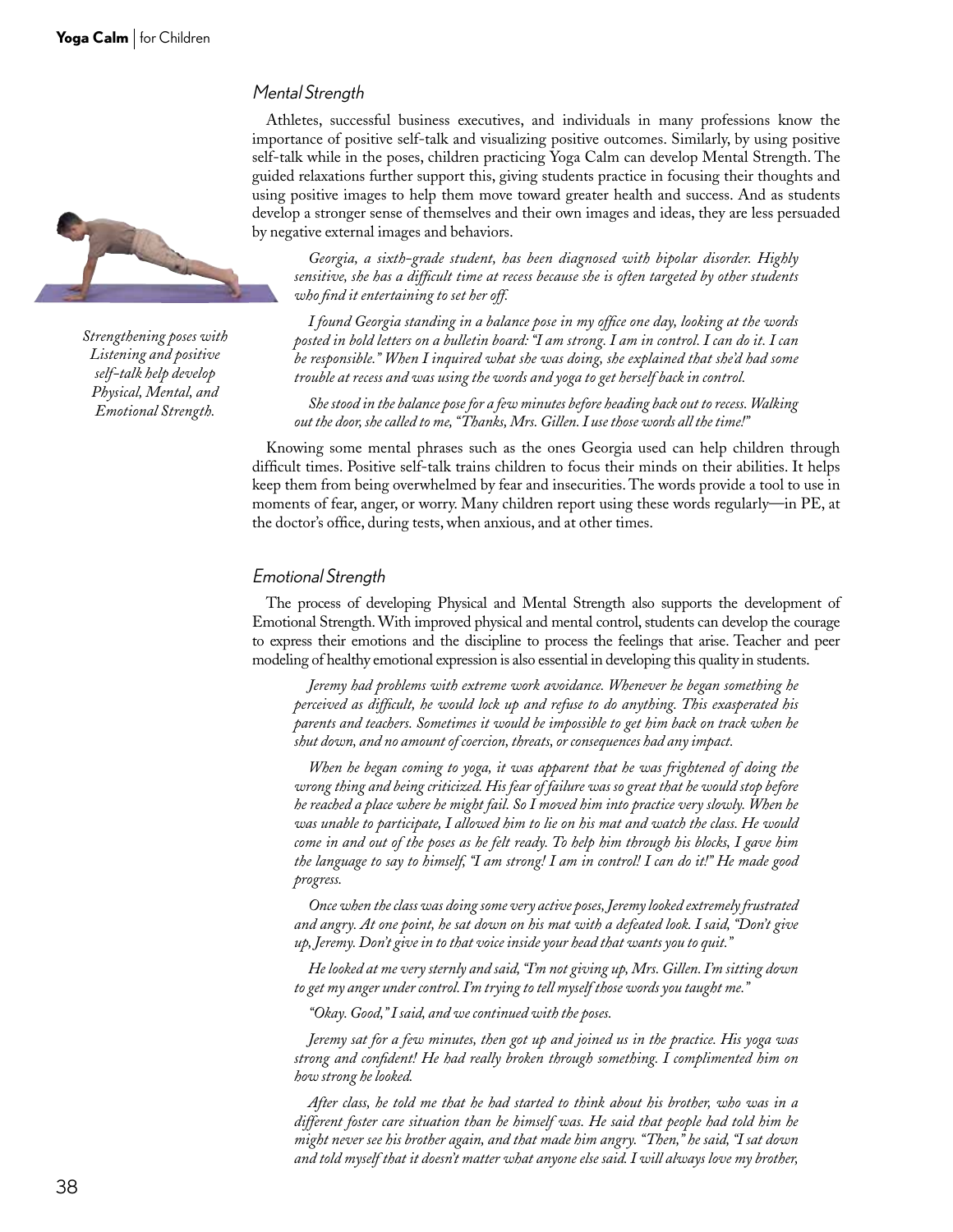#### Mental Strength



*Strengthening poses with Listening and positive self-talk help develop Physical, Mental, and Emotional Strength.*

Athletes, successful business executives, and individuals in many professions know the importance of positive self-talk and visualizing positive outcomes. Similarly, by using positive self-talk while in the poses, children practicing Yoga Calm can develop Mental Strength. The guided relaxations further support this, giving students practice in focusing their thoughts and using positive images to help them move toward greater health and success. And as students develop a stronger sense of themselves and their own images and ideas, they are less persuaded by negative external images and behaviors.

*Georgia, a sixth-grade student, has been diagnosed with bipolar disorder. Highly sensitive, she has a difficult time at recess because she is often targeted by other students who find it entertaining to set her off.* 

*I found Georgia standing in a balance pose in my office one day, looking at the words posted in bold letters on a bulletin board: "I am strong. I am in control. I can do it. I can be responsible." When I inquired what she was doing, she explained that she'd had some trouble at recess and was using the words and yoga to get herself back in control.* 

*She stood in the balance pose for a few minutes before heading back out to recess. Walking out the door, she called to me, "Thanks, Mrs. Gillen. I use those words all the time!"* 

Knowing some mental phrases such as the ones Georgia used can help children through difficult times. Positive self-talk trains children to focus their minds on their abilities. It helps keep them from being overwhelmed by fear and insecurities. The words provide a tool to use in moments of fear, anger, or worry. Many children report using these words regularly—in PE, at the doctor's office, during tests, when anxious, and at other times.

#### Emotional Strength

The process of developing Physical and Mental Strength also supports the development of Emotional Strength. With improved physical and mental control, students can develop the courage to express their emotions and the discipline to process the feelings that arise. Teacher and peer modeling of healthy emotional expression is also essential in developing this quality in students.

*Jeremy had problems with extreme work avoidance. Whenever he began something he perceived as difficult, he would lock up and refuse to do anything. This exasperated his parents and teachers. Sometimes it would be impossible to get him back on track when he shut down, and no amount of coercion, threats, or consequences had any impact.* 

When he began coming to yoga, it was apparent that he was frightened of doing the *wrong thing and being criticized. His fear of failure was so great that he would stop before he reached a place where he might fail. So I moved him into practice very slowly. When he was unable to participate, I allowed him to lie on his mat and watch the class. He would come in and out of the poses as he felt ready. To help him through his blocks, I gave him the language to say to himself, "I am strong! I am in control! I can do it!" He made good progress.* 

*Once when the class was doing some very active poses, Jeremy looked extremely frustrated and angry. At one point, he sat down on his mat with a defeated look. I said, "Don't give up, Jeremy. Don't give in to that voice inside your head that wants you to quit."* 

*He looked at me very sternly and said, "I'm not giving up, Mrs. Gillen. I'm sitting down to get my anger under control. I'm trying to tell myself those words you taught me."* 

*"Okay. Good," I said, and we continued with the poses.* 

*Jeremy sat for a few minutes, then got up and joined us in the practice. His yoga was strong and confident! He had really broken through something. I complimented him on how strong he looked.*

*After class, he told me that he had started to think about his brother, who was in a different foster care situation than he himself was. He said that people had told him he might never see his brother again, and that made him angry. "Then," he said, "I sat down and told myself that it doesn't matter what anyone else said. I will always love my brother,*